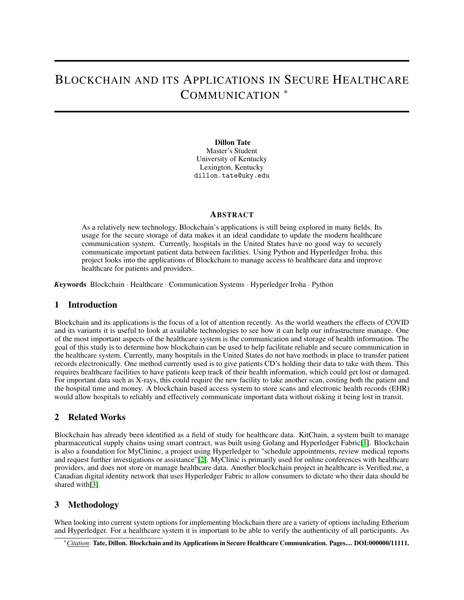# BLOCKCHAIN AND ITS APPLICATIONS IN SECURE HEALTHCARE COMMUNICATION <sup>∗</sup>

Dillon Tate Master's Student University of Kentucky Lexington, Kentucky dillon.tate@uky.edu

#### **ABSTRACT**

As a relatively new technology, Blockchain's applications is still being explored in many fields. Its usage for the secure storage of data makes it an ideal candidate to update the modern healthcare communication system. Currently, hospitals in the United States have no good way to securely communicate important patient data between facilities. Using Python and Hyperledger Iroha, this project looks into the applications of Blockchain to manage access to healthcare data and improve healthcare for patients and providers.

*K*eywords Blockchain · Healthcare · Communication Systems · Hyperledger Iroha · Python

### 1 Introduction

Blockchain and its applications is the focus of a lot of attention recently. As the world weathers the effects of COVID and its variants it is useful to look at available technologies to see how it can help our infrastructure manage. One of the most important aspects of the healthcare system is the communication and storage of health information. The goal of this study is to determine how blockchain can be used to help facilitate reliable and secure communication in the healthcare system. Currently, many hospitals in the United States do not have methods in place to transfer patient records electronically. One method currently used is to give patients CD's holding their data to take with them. This requires healthcare facilities to have patients keep track of their health information, which could get lost or damaged. For important data such as X-rays, this could require the new facility to take another scan, costing both the patient and the hospital time and money. A blockchain based access system to store scans and electronic health records (EHR) would allow hospitals to reliably and effectively communicate important data without risking it being lost in transit.

## 2 Related Works

Blockchain has already been identified as a field of study for healthcare data. KitChain, a system built to manage pharmaceutical supply chains using smart contract, was built using Golang and Hyperledger Fabric[\[1\]](#page-2-0). Blockchain is also a foundation for MyClininc, a project using Hyperledger to "schedule appointments, review medical reports and request further investigations or assistance"[\[2\]](#page-2-1). MyClinic is primarily used for online conferences with healthcare providers, and does not store or manage healthcare data. Another blockchain project in healthcare is Verified.me, a Canadian digital identity network that uses Hyperledger Fabric to allow consumers to dictate who their data should be shared with [\[3\]](#page-2-2).

## 3 Methodology

When looking into current system options for implementing blockchain there are a variety of options including Etherium and Hyperledger. For a healthcare system it is important to be able to verify the authenticity of all participants. As

<sup>∗</sup>*Citation*: Tate, Dillon. Blockchain and its Applications in Secure Healthcare Communication. Pages.... DOI:000000/11111.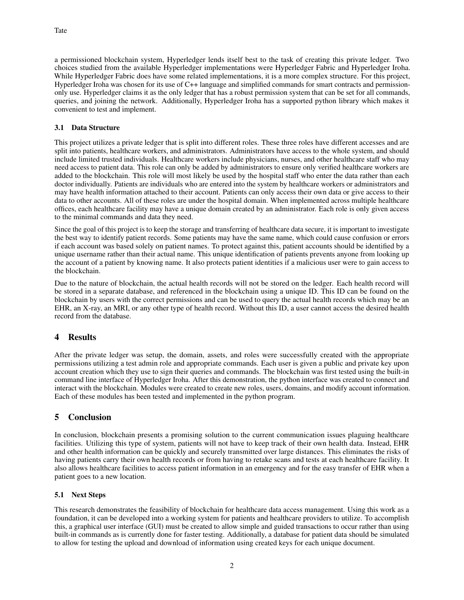a permissioned blockchain system, Hyperledger lends itself best to the task of creating this private ledger. Two choices studied from the available Hyperledger implementations were Hyperledger Fabric and Hyperledger Iroha. While Hyperledger Fabric does have some related implementations, it is a more complex structure. For this project, Hyperledger Iroha was chosen for its use of C++ language and simplified commands for smart contracts and permissiononly use. Hyperledger claims it as the only ledger that has a robust permission system that can be set for all commands, queries, and joining the network. Additionally, Hyperledger Iroha has a supported python library which makes it convenient to test and implement.

#### 3.1 Data Structure

This project utilizes a private ledger that is split into different roles. These three roles have different accesses and are split into patients, healthcare workers, and administrators. Administrators have access to the whole system, and should include limited trusted individuals. Healthcare workers include physicians, nurses, and other healthcare staff who may need access to patient data. This role can only be added by administrators to ensure only verified healthcare workers are added to the blockchain. This role will most likely be used by the hospital staff who enter the data rather than each doctor individually. Patients are individuals who are entered into the system by healthcare workers or administrators and may have health information attached to their account. Patients can only access their own data or give access to their data to other accounts. All of these roles are under the hospital domain. When implemented across multiple healthcare offices, each healthcare facility may have a unique domain created by an administrator. Each role is only given access to the minimal commands and data they need.

Since the goal of this project is to keep the storage and transferring of healthcare data secure, it is important to investigate the best way to identify patient records. Some patients may have the same name, which could cause confusion or errors if each account was based solely on patient names. To protect against this, patient accounts should be identified by a unique username rather than their actual name. This unique identification of patients prevents anyone from looking up the account of a patient by knowing name. It also protects patient identities if a malicious user were to gain access to the blockchain.

Due to the nature of blockchain, the actual health records will not be stored on the ledger. Each health record will be stored in a separate database, and referenced in the blockchain using a unique ID. This ID can be found on the blockchain by users with the correct permissions and can be used to query the actual health records which may be an EHR, an X-ray, an MRI, or any other type of health record. Without this ID, a user cannot access the desired health record from the database.

# 4 Results

After the private ledger was setup, the domain, assets, and roles were successfully created with the appropriate permissions utilizing a test admin role and appropriate commands. Each user is given a public and private key upon account creation which they use to sign their queries and commands. The blockchain was first tested using the built-in command line interface of Hyperledger Iroha. After this demonstration, the python interface was created to connect and interact with the blockchain. Modules were created to create new roles, users, domains, and modify account information. Each of these modules has been tested and implemented in the python program.

# 5 Conclusion

In conclusion, blockchain presents a promising solution to the current communication issues plaguing healthcare facilities. Utilizing this type of system, patients will not have to keep track of their own health data. Instead, EHR and other health information can be quickly and securely transmitted over large distances. This eliminates the risks of having patients carry their own health records or from having to retake scans and tests at each healthcare facility. It also allows healthcare facilities to access patient information in an emergency and for the easy transfer of EHR when a patient goes to a new location.

#### 5.1 Next Steps

This research demonstrates the feasibility of blockchain for healthcare data access management. Using this work as a foundation, it can be developed into a working system for patients and healthcare providers to utilize. To accomplish this, a graphical user interface (GUI) must be created to allow simple and guided transactions to occur rather than using built-in commands as is currently done for faster testing. Additionally, a database for patient data should be simulated to allow for testing the upload and download of information using created keys for each unique document.